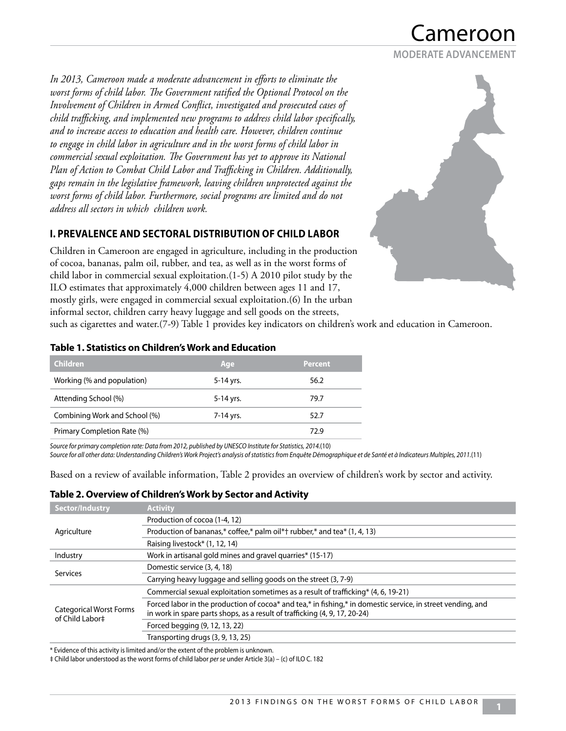# ameroor

#### **MODERATE ADVANCEMENT**

*In 2013, Cameroon made a moderate advancement in efforts to eliminate the worst forms of child labor. The Government ratified the Optional Protocol on the Involvement of Children in Armed Conflict, investigated and prosecuted cases of child trafficking, and implemented new programs to address child labor specifically, and to increase access to education and health care. However, children continue to engage in child labor in agriculture and in the worst forms of child labor in commercial sexual exploitation. The Government has yet to approve its National Plan of Action to Combat Child Labor and Trafficking in Children. Additionally, gaps remain in the legislative framework, leaving children unprotected against the worst forms of child labor. Furthermore, social programs are limited and do not address all sectors in which children work.*

## **I. PREVALENCE AND SECTORAL DISTRIBUTION OF CHILD LABOR**

Children in Cameroon are engaged in agriculture, including in the production of cocoa, bananas, palm oil, rubber, and tea, as well as in the worst forms of child labor in commercial sexual exploitation.(1-5) A 2010 pilot study by the ILO estimates that approximately 4,000 children between ages 11 and 17, mostly girls, were engaged in commercial sexual exploitation.(6) In the urban informal sector, children carry heavy luggage and sell goods on the streets,



such as cigarettes and water.(7-9) Table 1 provides key indicators on children's work and education in Cameroon.

## **Table 1. Statistics on Children's Work and Education**

| <b>Children</b>               | Age       | <b>Percent</b> |
|-------------------------------|-----------|----------------|
| Working (% and population)    | 5-14 yrs. | 56.2           |
| Attending School (%)          | 5-14 yrs. | 79.7           |
| Combining Work and School (%) | 7-14 yrs. | 52.7           |
| Primary Completion Rate (%)   |           | 72.9           |

*Source for primary completion rate: Data from 2012, published by UNESCO Institute for Statistics, 2014.*(10)

*Source for all other data: Understanding Children's Work Project's analysis of statistics from Enquête Démographique et de Santé et à Indicateurs Multiples, 2011.*(11)

Based on a review of available information, Table 2 provides an overview of children's work by sector and activity.

## **Table 2. Overview of Children's Work by Sector and Activity**

| Sector/Industry                                   | <b>Activity</b>                                                                                                                                                                           |
|---------------------------------------------------|-------------------------------------------------------------------------------------------------------------------------------------------------------------------------------------------|
|                                                   | Production of cocoa (1-4, 12)                                                                                                                                                             |
| Agriculture                                       | Production of bananas,* coffee,* palm oil*† rubber,* and tea* (1, 4, 13)                                                                                                                  |
|                                                   | Raising livestock* (1, 12, 14)                                                                                                                                                            |
| Industry                                          | Work in artisanal gold mines and gravel quarries* (15-17)                                                                                                                                 |
| Services                                          | Domestic service (3, 4, 18)                                                                                                                                                               |
|                                                   | Carrying heavy luggage and selling goods on the street (3, 7-9)                                                                                                                           |
|                                                   | Commercial sexual exploitation sometimes as a result of trafficking* $(4, 6, 19-21)$                                                                                                      |
| <b>Categorical Worst Forms</b><br>of Child Labor‡ | Forced labor in the production of cocoa* and tea,* in fishing,* in domestic service, in street vending, and<br>in work in spare parts shops, as a result of trafficking (4, 9, 17, 20-24) |
|                                                   | Forced begging (9, 12, 13, 22)                                                                                                                                                            |
|                                                   | Transporting drugs (3, 9, 13, 25)                                                                                                                                                         |

\* Evidence of this activity is limited and/or the extent of the problem is unknown.

‡ Child labor understood as the worst forms of child labor *per se* under Article 3(a) – (c) of ILO C. 182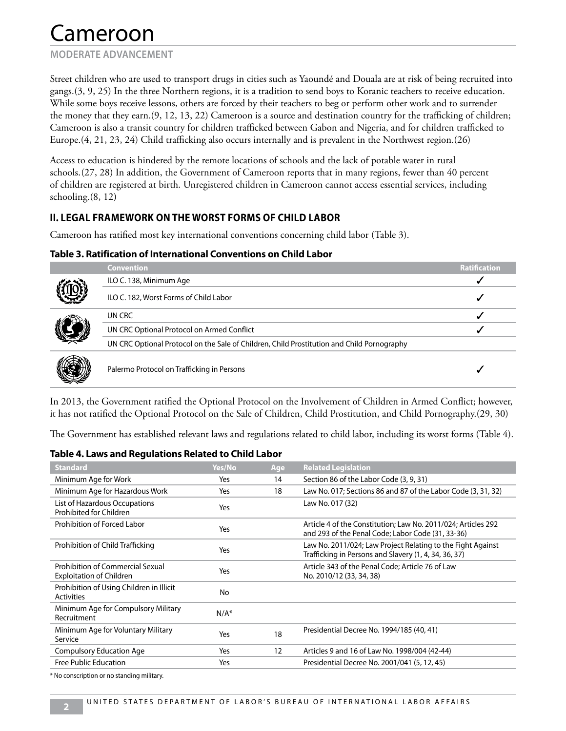# Cameroon

## **MODERATE ADVANCEMENT**

Street children who are used to transport drugs in cities such as Yaoundé and Douala are at risk of being recruited into gangs.(3, 9, 25) In the three Northern regions, it is a tradition to send boys to Koranic teachers to receive education. While some boys receive lessons, others are forced by their teachers to beg or perform other work and to surrender the money that they earn.(9, 12, 13, 22) Cameroon is a source and destination country for the trafficking of children; Cameroon is also a transit country for children trafficked between Gabon and Nigeria, and for children trafficked to Europe.(4, 21, 23, 24) Child trafficking also occurs internally and is prevalent in the Northwest region.(26)

Access to education is hindered by the remote locations of schools and the lack of potable water in rural schools.(27, 28) In addition, the Government of Cameroon reports that in many regions, fewer than 40 percent of children are registered at birth. Unregistered children in Cameroon cannot access essential services, including schooling.(8, 12)

## **II. LEGAL FRAMEWORK ON THE WORST FORMS OF CHILD LABOR**

Cameroon has ratified most key international conventions concerning child labor (Table 3).

## **Table 3. Ratification of International Conventions on Child Labor**

|  | <b>Convention</b>                                                                          | Ratification |
|--|--------------------------------------------------------------------------------------------|--------------|
|  | ILO C. 138, Minimum Age                                                                    |              |
|  | ILO C. 182, Worst Forms of Child Labor                                                     |              |
|  | UN CRC                                                                                     |              |
|  | UN CRC Optional Protocol on Armed Conflict                                                 |              |
|  | UN CRC Optional Protocol on the Sale of Children, Child Prostitution and Child Pornography |              |
|  | Palermo Protocol on Trafficking in Persons                                                 |              |

In 2013, the Government ratified the Optional Protocol on the Involvement of Children in Armed Conflict; however, it has not ratified the Optional Protocol on the Sale of Children, Child Prostitution, and Child Pornography.(29, 30)

The Government has established relevant laws and regulations related to child labor, including its worst forms (Table 4).

## **Table 4. Laws and Regulations Related to Child Labor**

| Yes/No    | Age | <b>Related Legislation</b>                                                                                           |
|-----------|-----|----------------------------------------------------------------------------------------------------------------------|
| Yes       | 14  | Section 86 of the Labor Code (3, 9, 31)                                                                              |
| Yes       | 18  | Law No. 017; Sections 86 and 87 of the Labor Code (3, 31, 32)                                                        |
| Yes       |     | Law No. 017 (32)                                                                                                     |
| Yes       |     | Article 4 of the Constitution; Law No. 2011/024; Articles 292<br>and 293 of the Penal Code; Labor Code (31, 33-36)   |
| Yes       |     | Law No. 2011/024; Law Project Relating to the Fight Against<br>Trafficking in Persons and Slavery (1, 4, 34, 36, 37) |
| Yes       |     | Article 343 of the Penal Code; Article 76 of Law<br>No. 2010/12 (33, 34, 38)                                         |
| <b>No</b> |     |                                                                                                                      |
| $N/A^*$   |     |                                                                                                                      |
| Yes       | 18  | Presidential Decree No. 1994/185 (40, 41)                                                                            |
| Yes       | 12  | Articles 9 and 16 of Law No. 1998/004 (42-44)                                                                        |
| Yes       |     | Presidential Decree No. 2001/041 (5, 12, 45)                                                                         |
|           |     |                                                                                                                      |

\* No conscription or no standing military.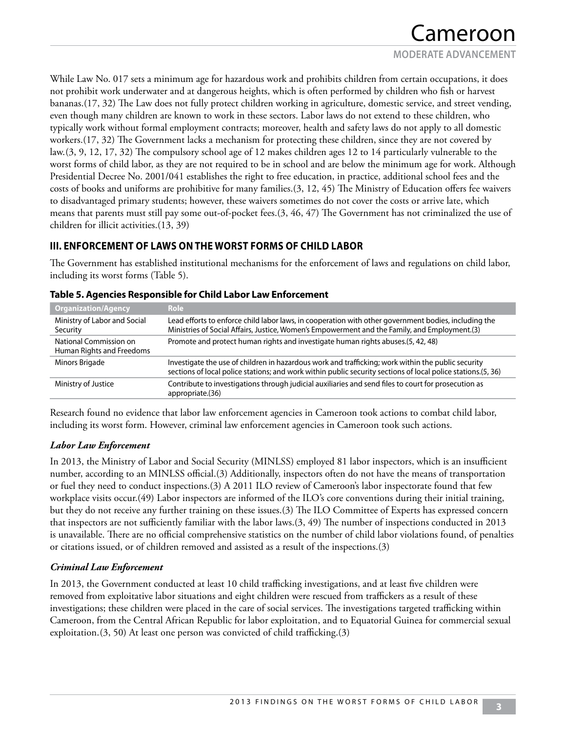While Law No. 017 sets a minimum age for hazardous work and prohibits children from certain occupations, it does not prohibit work underwater and at dangerous heights, which is often performed by children who fish or harvest bananas.(17, 32) The Law does not fully protect children working in agriculture, domestic service, and street vending, even though many children are known to work in these sectors. Labor laws do not extend to these children, who typically work without formal employment contracts; moreover, health and safety laws do not apply to all domestic workers.(17, 32) The Government lacks a mechanism for protecting these children, since they are not covered by law.(3, 9, 12, 17, 32) The compulsory school age of 12 makes children ages 12 to 14 particularly vulnerable to the worst forms of child labor, as they are not required to be in school and are below the minimum age for work. Although Presidential Decree No. 2001/041 establishes the right to free education, in practice, additional school fees and the costs of books and uniforms are prohibitive for many families.(3, 12, 45) The Ministry of Education offers fee waivers to disadvantaged primary students; however, these waivers sometimes do not cover the costs or arrive late, which means that parents must still pay some out-of-pocket fees.(3, 46, 47) The Government has not criminalized the use of children for illicit activities.(13, 39)

## **III. ENFORCEMENT OF LAWS ON THE WORST FORMS OF CHILD LABOR**

The Government has established institutional mechanisms for the enforcement of laws and regulations on child labor, including its worst forms (Table 5).

| Role                                                                                                                                                                                                               |
|--------------------------------------------------------------------------------------------------------------------------------------------------------------------------------------------------------------------|
| Lead efforts to enforce child labor laws, in cooperation with other government bodies, including the<br>Ministries of Social Affairs, Justice, Women's Empowerment and the Family, and Employment.(3)              |
| Promote and protect human rights and investigate human rights abuses. (5, 42, 48)                                                                                                                                  |
| Investigate the use of children in hazardous work and trafficking; work within the public security<br>sections of local police stations; and work within public security sections of local police stations.(5, 36) |
| Contribute to investigations through judicial auxiliaries and send files to court for prosecution as<br>appropriate.(36)                                                                                           |
|                                                                                                                                                                                                                    |

## **Table 5. Agencies Responsible for Child Labor Law Enforcement**

Research found no evidence that labor law enforcement agencies in Cameroon took actions to combat child labor, including its worst form. However, criminal law enforcement agencies in Cameroon took such actions.

## *Labor Law Enforcement*

In 2013, the Ministry of Labor and Social Security (MINLSS) employed 81 labor inspectors, which is an insufficient number, according to an MINLSS official.(3) Additionally, inspectors often do not have the means of transportation or fuel they need to conduct inspections.(3) A 2011 ILO review of Cameroon's labor inspectorate found that few workplace visits occur.(49) Labor inspectors are informed of the ILO's core conventions during their initial training, but they do not receive any further training on these issues.(3) The ILO Committee of Experts has expressed concern that inspectors are not sufficiently familiar with the labor laws.(3, 49) The number of inspections conducted in 2013 is unavailable. There are no official comprehensive statistics on the number of child labor violations found, of penalties or citations issued, or of children removed and assisted as a result of the inspections.(3)

## *Criminal Law Enforcement*

In 2013, the Government conducted at least 10 child trafficking investigations, and at least five children were removed from exploitative labor situations and eight children were rescued from traffickers as a result of these investigations; these children were placed in the care of social services. The investigations targeted trafficking within Cameroon, from the Central African Republic for labor exploitation, and to Equatorial Guinea for commercial sexual exploitation.(3, 50) At least one person was convicted of child trafficking.(3)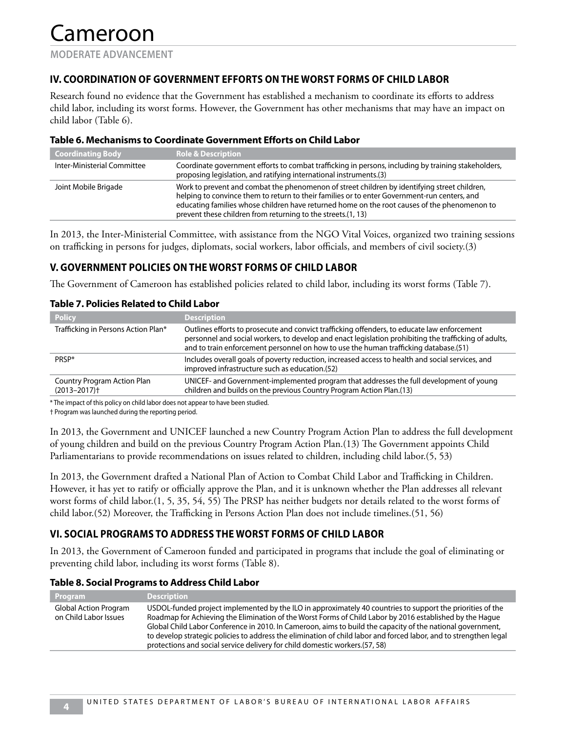## **IV. COORDINATION OF GOVERNMENT EFFORTS ON THE WORST FORMS OF CHILD LABOR**

Research found no evidence that the Government has established a mechanism to coordinate its efforts to address child labor, including its worst forms. However, the Government has other mechanisms that may have an impact on child labor (Table 6).

#### **Table 6. Mechanisms to Coordinate Government Efforts on Child Labor**

| <b>Coordinating Body</b>    | <b>Role &amp; Description</b>                                                                                                                                                                                                                                                                                                                                |
|-----------------------------|--------------------------------------------------------------------------------------------------------------------------------------------------------------------------------------------------------------------------------------------------------------------------------------------------------------------------------------------------------------|
| Inter-Ministerial Committee | Coordinate government efforts to combat trafficking in persons, including by training stakeholders,<br>proposing legislation, and ratifying international instruments.(3)                                                                                                                                                                                    |
| Joint Mobile Brigade        | Work to prevent and combat the phenomenon of street children by identifying street children,<br>helping to convince them to return to their families or to enter Government-run centers, and<br>educating families whose children have returned home on the root causes of the phenomenon to<br>prevent these children from returning to the streets.(1, 13) |
|                             |                                                                                                                                                                                                                                                                                                                                                              |

In 2013, the Inter-Ministerial Committee, with assistance from the NGO Vital Voices, organized two training sessions on trafficking in persons for judges, diplomats, social workers, labor officials, and members of civil society.(3)

## **V. GOVERNMENT POLICIES ON THE WORST FORMS OF CHILD LABOR**

The Government of Cameroon has established policies related to child labor, including its worst forms (Table 7).

## **Table 7. Policies Related to Child Labor**

| <b>Policy</b>                                               | <b>Description</b>                                                                                                                                                                                                                                                                           |
|-------------------------------------------------------------|----------------------------------------------------------------------------------------------------------------------------------------------------------------------------------------------------------------------------------------------------------------------------------------------|
| Trafficking in Persons Action Plan*                         | Outlines efforts to prosecute and convict trafficking offenders, to educate law enforcement<br>personnel and social workers, to develop and enact legislation prohibiting the trafficking of adults,<br>and to train enforcement personnel on how to use the human trafficking database.(51) |
| PRSP*                                                       | Includes overall goals of poverty reduction, increased access to health and social services, and<br>improved infrastructure such as education.(52)                                                                                                                                           |
| Country Program Action Plan<br>$(2013 - 2017)$ <sup>+</sup> | UNICEF- and Government-implemented program that addresses the full development of young<br>children and builds on the previous Country Program Action Plan.(13)                                                                                                                              |

\* The impact of this policy on child labor does not appear to have been studied.

† Program was launched during the reporting period.

In 2013, the Government and UNICEF launched a new Country Program Action Plan to address the full development of young children and build on the previous Country Program Action Plan.(13) The Government appoints Child Parliamentarians to provide recommendations on issues related to children, including child labor.(5, 53)

In 2013, the Government drafted a National Plan of Action to Combat Child Labor and Trafficking in Children. However, it has yet to ratify or officially approve the Plan, and it is unknown whether the Plan addresses all relevant worst forms of child labor.(1, 5, 35, 54, 55) The PRSP has neither budgets nor details related to the worst forms of child labor.(52) Moreover, the Trafficking in Persons Action Plan does not include timelines.(51, 56)

## **VI. SOCIAL PROGRAMS TO ADDRESS THE WORST FORMS OF CHILD LABOR**

In 2013, the Government of Cameroon funded and participated in programs that include the goal of eliminating or preventing child labor, including its worst forms (Table 8).

## **Table 8. Social Programs to Address Child Labor**

| <b>Program</b>                                        | <b>Description</b>                                                                                                                                                                                                                                                                                                                                                                                                                                                                                                                        |
|-------------------------------------------------------|-------------------------------------------------------------------------------------------------------------------------------------------------------------------------------------------------------------------------------------------------------------------------------------------------------------------------------------------------------------------------------------------------------------------------------------------------------------------------------------------------------------------------------------------|
| <b>Global Action Program</b><br>on Child Labor Issues | USDOL-funded project implemented by the ILO in approximately 40 countries to support the priorities of the<br>Roadmap for Achieving the Elimination of the Worst Forms of Child Labor by 2016 established by the Haque<br>Global Child Labor Conference in 2010. In Cameroon, aims to build the capacity of the national government,<br>to develop strategic policies to address the elimination of child labor and forced labor, and to strengthen legal<br>protections and social service delivery for child domestic workers. (57, 58) |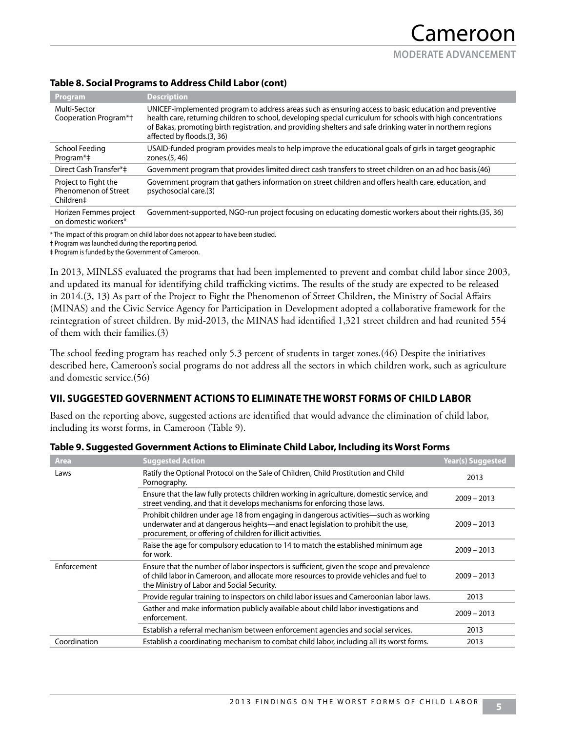| Program                                                   | <b>Description</b>                                                                                                                                                                                                                                                                                                                                                  |
|-----------------------------------------------------------|---------------------------------------------------------------------------------------------------------------------------------------------------------------------------------------------------------------------------------------------------------------------------------------------------------------------------------------------------------------------|
| Multi-Sector<br>Cooperation Program*†                     | UNICEF-implemented program to address areas such as ensuring access to basic education and preventive<br>health care, returning children to school, developing special curriculum for schools with high concentrations<br>of Bakas, promoting birth registration, and providing shelters and safe drinking water in northern regions<br>affected by floods. (3, 36) |
| School Feeding<br>Program <sup>*</sup> ‡                  | USAID-funded program provides meals to help improve the educational goals of girls in target geographic<br>zones.(5, 46)                                                                                                                                                                                                                                            |
| Direct Cash Transfer*‡                                    | Government program that provides limited direct cash transfers to street children on an ad hoc basis.(46)                                                                                                                                                                                                                                                           |
| Project to Fight the<br>Phenomenon of Street<br>Children‡ | Government program that gathers information on street children and offers health care, education, and<br>psychosocial care.(3)                                                                                                                                                                                                                                      |
| Horizen Femmes project<br>on domestic workers*            | Government-supported, NGO-run project focusing on educating domestic workers about their rights.(35, 36)                                                                                                                                                                                                                                                            |

## **Table 8. Social Programs to Address Child Labor (cont)**

\* The impact of this program on child labor does not appear to have been studied.

† Program was launched during the reporting period.

‡ Program is funded by the Government of Cameroon.

In 2013, MINLSS evaluated the programs that had been implemented to prevent and combat child labor since 2003, and updated its manual for identifying child trafficking victims. The results of the study are expected to be released in 2014.(3, 13) As part of the Project to Fight the Phenomenon of Street Children, the Ministry of Social Affairs (MINAS) and the Civic Service Agency for Participation in Development adopted a collaborative framework for the reintegration of street children. By mid-2013, the MINAS had identified 1,321 street children and had reunited 554 of them with their families.(3)

The school feeding program has reached only 5.3 percent of students in target zones.(46) Despite the initiatives described here, Cameroon's social programs do not address all the sectors in which children work, such as agriculture and domestic service.(56)

## **VII. SUGGESTED GOVERNMENT ACTIONS TO ELIMINATE THE WORST FORMS OF CHILD LABOR**

Based on the reporting above, suggested actions are identified that would advance the elimination of child labor, including its worst forms, in Cameroon (Table 9).

| Area         | <b>Suggested Action</b>                                                                                                                                                                                                                | <b>Year(s) Suggested</b> |
|--------------|----------------------------------------------------------------------------------------------------------------------------------------------------------------------------------------------------------------------------------------|--------------------------|
| Laws         | Ratify the Optional Protocol on the Sale of Children, Child Prostitution and Child<br>Pornography.                                                                                                                                     | 2013                     |
|              | Ensure that the law fully protects children working in agriculture, domestic service, and<br>street vending, and that it develops mechanisms for enforcing those laws.                                                                 | $2009 - 2013$            |
|              | Prohibit children under age 18 from engaging in dangerous activities—such as working<br>underwater and at dangerous heights—and enact legislation to prohibit the use,<br>procurement, or offering of children for illicit activities. | $2009 - 2013$            |
|              | Raise the age for compulsory education to 14 to match the established minimum age<br>for work.                                                                                                                                         | $2009 - 2013$            |
| Enforcement  | Ensure that the number of labor inspectors is sufficient, given the scope and prevalence<br>of child labor in Cameroon, and allocate more resources to provide vehicles and fuel to<br>the Ministry of Labor and Social Security.      | $2009 - 2013$            |
|              | Provide regular training to inspectors on child labor issues and Cameroonian labor laws.                                                                                                                                               | 2013                     |
|              | Gather and make information publicly available about child labor investigations and<br>enforcement.                                                                                                                                    | $2009 - 2013$            |
|              | Establish a referral mechanism between enforcement agencies and social services.                                                                                                                                                       | 2013                     |
| Coordination | Establish a coordinating mechanism to combat child labor, including all its worst forms.                                                                                                                                               | 2013                     |

## **Table 9. Suggested Government Actions to Eliminate Child Labor, Including its Worst Forms**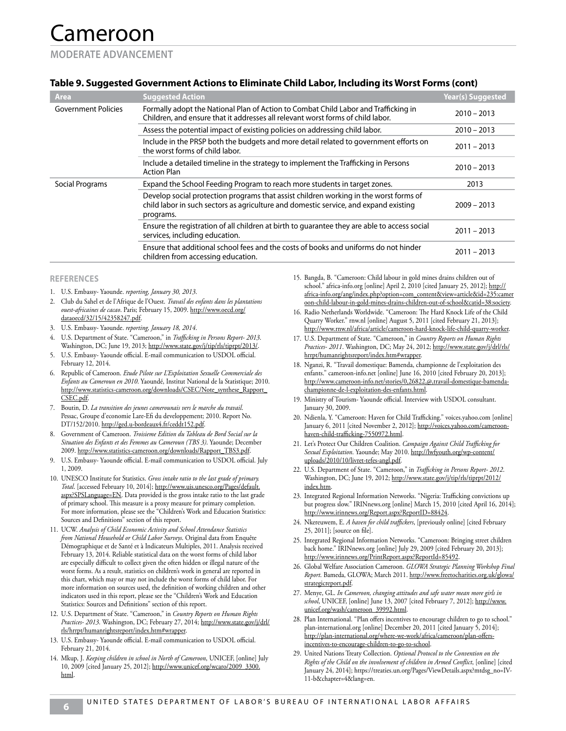## **Table 9. Suggested Government Actions to Eliminate Child Labor, Including its Worst Forms (cont)**

| <b>Area</b>                | <b>Suggested Action</b>                                                                                                                                                                    | <b>Year(s) Suggested</b> |
|----------------------------|--------------------------------------------------------------------------------------------------------------------------------------------------------------------------------------------|--------------------------|
| <b>Government Policies</b> | Formally adopt the National Plan of Action to Combat Child Labor and Trafficking in<br>Children, and ensure that it addresses all relevant worst forms of child labor.                     | $2010 - 2013$            |
|                            | Assess the potential impact of existing policies on addressing child labor.                                                                                                                | $2010 - 2013$            |
|                            | Include in the PRSP both the budgets and more detail related to government efforts on<br>the worst forms of child labor.                                                                   | $2011 - 2013$            |
|                            | Include a detailed timeline in the strategy to implement the Trafficking in Persons<br><b>Action Plan</b>                                                                                  | $2010 - 2013$            |
| Social Programs            | Expand the School Feeding Program to reach more students in target zones.                                                                                                                  | 2013                     |
|                            | Develop social protection programs that assist children working in the worst forms of<br>child labor in such sectors as agriculture and domestic service, and expand existing<br>programs. | $2009 - 2013$            |
|                            | Ensure the registration of all children at birth to guarantee they are able to access social<br>services, including education.                                                             | $2011 - 2013$            |
|                            | Ensure that additional school fees and the costs of books and uniforms do not hinder<br>children from accessing education.                                                                 | $2011 - 2013$            |
|                            |                                                                                                                                                                                            |                          |

#### **REFERENCES**

- 1. U.S. Embassy- Yaounde. *reporting, January 30, 2013*.
- 2. Club du Sahel et de l'Afrique de l'Ouest. *Travail des enfants dans les plantations ouest-africaines de cacao*. Paris; February 15, 2009. http://www.oecd.org/ dataoecd/32/15/42358247.pdf.
- 3. U.S. Embassy- Yaounde. *reporting, January 18, 2014*.
- 4. U.S. Department of State. "Cameroon," in *Trafficking in Persons Report- 2013*. Washington, DC; June 19, 2013; http://www.state.gov/j/tip/rls/tiprpt/2013/.
- U.S. Embassy- Yaounde official. E-mail communication to USDOL official. February 12, 2014.
- 6. Republic of Cameroon. *Etude Pilote sur L'Exploitation Sexuelle Commerciale des Enfants au Cameroun en 2010*. Yaoundé, Institut National de la Statistique; 2010. http://www.statistics-cameroon.org/downloads/CSEC/Note\_synthese\_Rapport\_ CSEC.pdf.
- 7. Boutin, D. *La transition des jeunes camerounais vers le marche du travail*. Pessac, Groupe d'economie Lare-Efi du developpement; 2010. Report No. DT/152/2010. http://ged.u-bordeaux4.fr/ceddt152.pdf.
- 8. Government of Cameroon. *Troisieme Edition du Tableau de Bord Social sur la Situation des Enfants et des Femmes au Cameroun (TBS 3)*. Yaounde; December 2009. http://www.statistics-cameroon.org/downloads/Rapport\_TBS3.pdf.
- 9. U.S. Embassy- Yaounde official. E-mail communication to USDOL official. July 1, 2009.
- 10. UNESCO Institute for Statistics. *Gross intake ratio to the last grade of primary. Total*. [accessed February 10, 2014]; http://www.uis.unesco.org/Pages/default. aspx?SPSLanguage=EN. Data provided is the gross intake ratio to the last grade of primary school. This measure is a proxy measure for primary completion. For more information, please see the "Children's Work and Education Statistics: Sources and Definitions" section of this report.
- 11. UCW. *Analysis of Child Economic Activity and School Attendance Statistics from National Household or Child Labor Surveys*. Original data from Enquête Démographique et de Santé et à Indicateurs Multiples, 2011. Analysis received February 13, 2014. Reliable statistical data on the worst forms of child labor are especially difficult to collect given the often hidden or illegal nature of the worst forms. As a result, statistics on children's work in general are reported in this chart, which may or may not include the worst forms of child labor. For more information on sources used, the definition of working children and other indicators used in this report, please see the "Children's Work and Education Statistics: Sources and Definitions" section of this report.
- 12. U.S. Department of State. "Cameroon," in *Country Reports on Human Rights Practices- 2013*. Washington, DC; February 27, 2014; http://www.state.gov/j/drl/ rls/hrrpt/humanrightsreport/index.htm#wrapper.
- 13. U.S. Embassy- Yaounde official. E-mail communication to USDOL official. February 21, 2014.
- 14. Mkup, J. *Keeping children in school in North of Cameroon*, UNICEF, [online] July 10, 2009 [cited January 25, 2012]; http://www.unicef.org/wcaro/2009\_3300. html.
- 15. Bangda, B. "Cameroon: Child labour in gold mines drains children out of school." africa-info.org [online] April 2, 2010 [cited January 25, 2012]; http:// africa-info.org/ang/index.php?option=com\_content&view=article&id=235:camer oon-child-labour-in-gold-mines-drains-children-out-of-school&catid=38:society.
- 16. Radio Netherlands Worldwide. "Cameroon: The Hard Knock Life of the Child Quarry Worker." rnw.nl [online] August 5, 2011 [cited February 21, 2013]; http://www.rnw.nl/africa/article/cameroon-hard-knock-life-child-quarry-worker.
- 17. U.S. Department of State. "Cameroon," in *Country Reports on Human Rights Practices- 2011*. Washington, DC; May 24, 2012; http://www.state.gov/j/drl/rls/ hrrpt/humanrightsreport/index.htm#wrapper.
- 18. Nganzi, R. "Travail domestique: Bamenda, championne de l'exploitation des enfants." cameroon-info.net [online] June 16, 2010 [cited February 20, 2013]; http://www.cameroon-info.net/stories/0,26822,@,travail-domestique-bamendachampionne-de-l-exploitation-des-enfants.html.
- 19. Ministry of Tourism- Yaounde official. Interview with USDOL consultant. January 30, 2009.
- 20. Ndienla, Y. "Cameroon: Haven for Child Trafficking." voices.yahoo.com [online] January 6, 2011 [cited November 2, 2012]; http://voices.yahoo.com/cameroonhaven-child-trafficking-7550972.html.
- 21. Let's Protect Our Children Coalition. *Campaign Against Child Trafficking for Sexual Exploitation*. Yaounde; May 2010. http://lwfyouth.org/wp-content/ uploads/2010/10/livret-tefes-angl.pdf.
- 22. U.S. Department of State. "Cameroon," in *Trafficking in Persons Report- 2012*. Washington, DC; June 19, 2012; http://www.state.gov/j/tip/rls/tiprpt/2012/ index.htm.
- 23. Integrated Regional Information Networks. "Nigeria: Trafficking convictions up but progress slow." IRINnews.org [online] March 15, 2010 [cited April 16, 2014]; http://www.irinnews.org/Report.aspx?ReportID=88424.
- 24. Nkereuwem, E. *A haven for child traffickers*, [previously online] [cited February 25, 2011]; [source on file].
- 25. Integrated Regional Information Networks. "Cameroon: Bringing street children back home." IRINnews.org [online] July 29, 2009 [cited February 20, 2013]; http://www.irinnews.org/PrintReport.aspx?ReportId=85492.
- 26. Global Welfare Association Cameroon. *GLOWA Strategic Planning Workshop Final Report*. Bameda, GLOWA; March 2011. http://www.freetocharities.org.uk/glowa/ strategicreport.pdf.
- 27. Menye, GL. *In Cameroon, changing attitudes and safe water mean more girls in school*, UNICEF, [online] June 13, 2007 [cited February 7, 2012]; http://www. unicef.org/wash/cameroon\_39992.html.
- 28. Plan International. "Plan offers incentives to encourage children to go to school." plan-international.org [online] December 20, 2011 [cited January 5, 2014]; http://plan-international.org/where-we-work/africa/cameroon/plan-offersincentives-to-encourage-children-to-go-to-school.
- 29. United Nations Treaty Collection. *Optional Protocol to the Convention on the Rights of the Child on the involvement of children in Armed Conflict*, [online] [cited January 24, 2014]; https://treaties.un.org/Pages/ViewDetails.aspx?mtdsg\_no=IV-11-b&chapter=4&lang=en.